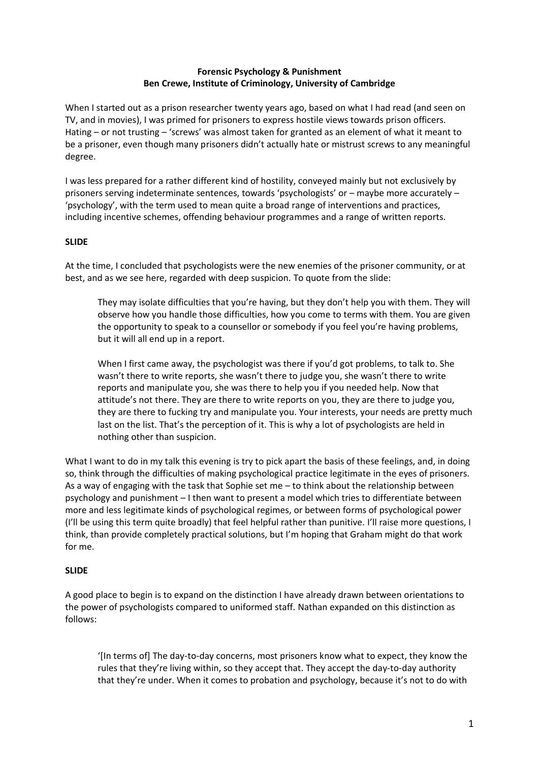# **Forensic Psychology & Punishment Ben Crewe, Institute of Criminology, University of Cambridge**

When I started out as a prison researcher twenty years ago, based on what I had read (and seen on TV, and in movies), I was primed for prisoners to express hostile views towards prison officers. Hating – or not trusting – 'screws' was almost taken for granted as an element of what it meant to be a prisoner, even though many prisoners didn't actually hate or mistrust screws to any meaningful degree.

I was less prepared for a rather different kind of hostility, conveyed mainly but not exclusively by prisoners serving indeterminate sentences, towards 'psychologists' or – maybe more accurately – 'psychology', with the term used to mean quite a broad range of interventions and practices, including incentive schemes, offending behaviour programmes and a range of written reports.

### **SLIDE**

At the time, I concluded that psychologists were the new enemies of the prisoner community, or at best, and as we see here, regarded with deep suspicion. To quote from the slide:

They may isolate difficulties that you're having, but they don't help you with them. They will observe how you handle those difficulties, how you come to terms with them. You are given the opportunity to speak to a counsellor or somebody if you feel you're having problems, but it will all end up in a report.

When I first came away, the psychologist was there if you'd got problems, to talk to. She wasn't there to write reports, she wasn't there to judge you, she wasn't there to write reports and manipulate you, she was there to help you if you needed help. Now that attitude's not there. They are there to write reports on you, they are there to judge you, they are there to fucking try and manipulate you. Your interests, your needs are pretty much last on the list. That's the perception of it. This is why a lot of psychologists are held in nothing other than suspicion.

What I want to do in my talk this evening is try to pick apart the basis of these feelings, and, in doing so, think through the difficulties of making psychological practice legitimate in the eyes of prisoners. As a way of engaging with the task that Sophie set me – to think about the relationship between psychology and punishment – I then want to present a model which tries to differentiate between more and less legitimate kinds of psychological regimes, or between forms of psychological power (I'll be using this term quite broadly) that feel helpful rather than punitive. I'll raise more questions, I think, than provide completely practical solutions, but I'm hoping that Graham might do that work for me.

# **SLIDE**

A good place to begin is to expand on the distinction I have already drawn between orientations to the power of psychologists compared to uniformed staff. Nathan expanded on this distinction as follows:

'[In terms of] The day-to-day concerns, most prisoners know what to expect, they know the rules that they're living within, so they accept that. They accept the day-to-day authority that they're under. When it comes to probation and psychology, because it's not to do with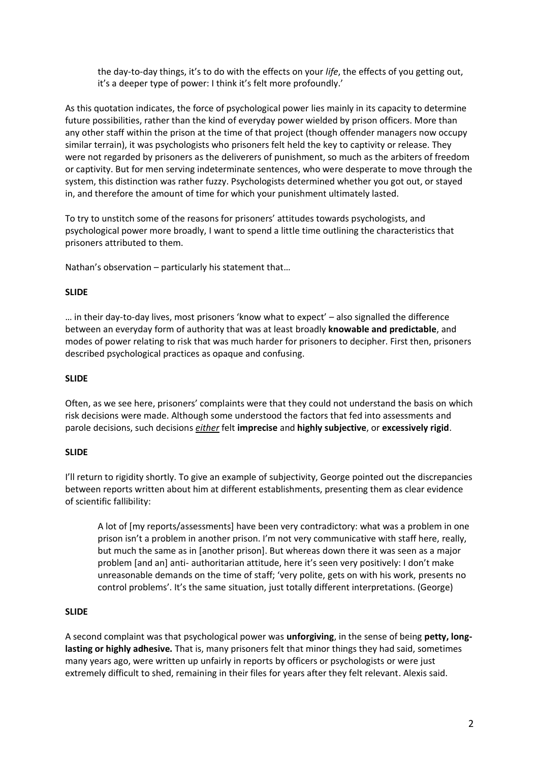the day-to-day things, it's to do with the effects on your *life*, the effects of you getting out, it's a deeper type of power: I think it's felt more profoundly.'

As this quotation indicates, the force of psychological power lies mainly in its capacity to determine future possibilities, rather than the kind of everyday power wielded by prison officers. More than any other staff within the prison at the time of that project (though offender managers now occupy similar terrain), it was psychologists who prisoners felt held the key to captivity or release. They were not regarded by prisoners as the deliverers of punishment, so much as the arbiters of freedom or captivity. But for men serving indeterminate sentences, who were desperate to move through the system, this distinction was rather fuzzy. Psychologists determined whether you got out, or stayed in, and therefore the amount of time for which your punishment ultimately lasted.

To try to unstitch some of the reasons for prisoners' attitudes towards psychologists, and psychological power more broadly, I want to spend a little time outlining the characteristics that prisoners attributed to them.

Nathan's observation – particularly his statement that…

### **SLIDE**

… in their day-to-day lives, most prisoners 'know what to expect' – also signalled the difference between an everyday form of authority that was at least broadly **knowable and predictable**, and modes of power relating to risk that was much harder for prisoners to decipher. First then, prisoners described psychological practices as opaque and confusing.

#### **SLIDE**

Often, as we see here, prisoners' complaints were that they could not understand the basis on which risk decisions were made. Although some understood the factors that fed into assessments and parole decisions, such decisions *either* felt **imprecise** and **highly subjective**, or **excessively rigid**.

#### **SLIDE**

I'll return to rigidity shortly. To give an example of subjectivity, George pointed out the discrepancies between reports written about him at different establishments, presenting them as clear evidence of scientific fallibility:

A lot of [my reports/assessments] have been very contradictory: what was a problem in one prison isn't a problem in another prison. I'm not very communicative with staff here, really, but much the same as in [another prison]. But whereas down there it was seen as a major problem [and an] anti- authoritarian attitude, here it's seen very positively: I don't make unreasonable demands on the time of staff; 'very polite, gets on with his work, presents no control problems'. It's the same situation, just totally different interpretations. (George)

#### **SLIDE**

A second complaint was that psychological power was **unforgiving**, in the sense of being **petty, longlasting or highly adhesive.** That is, many prisoners felt that minor things they had said, sometimes many years ago, were written up unfairly in reports by officers or psychologists or were just extremely difficult to shed, remaining in their files for years after they felt relevant. Alexis said.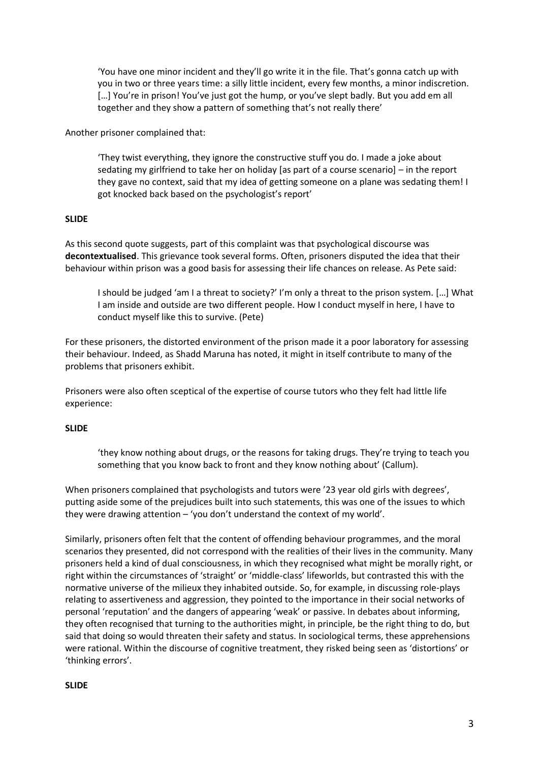'You have one minor incident and they'll go write it in the file. That's gonna catch up with you in two or three years time: a silly little incident, every few months, a minor indiscretion. [...] You're in prison! You've just got the hump, or you've slept badly. But you add em all together and they show a pattern of something that's not really there'

Another prisoner complained that:

'They twist everything, they ignore the constructive stuff you do. I made a joke about sedating my girlfriend to take her on holiday [as part of a course scenario] – in the report they gave no context, said that my idea of getting someone on a plane was sedating them! I got knocked back based on the psychologist's report'

### **SLIDE**

As this second quote suggests, part of this complaint was that psychological discourse was **decontextualised**. This grievance took several forms. Often, prisoners disputed the idea that their behaviour within prison was a good basis for assessing their life chances on release. As Pete said:

I should be judged 'am I a threat to society?' I'm only a threat to the prison system. […] What I am inside and outside are two different people. How I conduct myself in here, I have to conduct myself like this to survive. (Pete)

For these prisoners, the distorted environment of the prison made it a poor laboratory for assessing their behaviour. Indeed, as Shadd Maruna has noted, it might in itself contribute to many of the problems that prisoners exhibit.

Prisoners were also often sceptical of the expertise of course tutors who they felt had little life experience:

# **SLIDE**

'they know nothing about drugs, or the reasons for taking drugs. They're trying to teach you something that you know back to front and they know nothing about' (Callum).

When prisoners complained that psychologists and tutors were '23 year old girls with degrees', putting aside some of the prejudices built into such statements, this was one of the issues to which they were drawing attention – 'you don't understand the context of my world'.

Similarly, prisoners often felt that the content of offending behaviour programmes, and the moral scenarios they presented, did not correspond with the realities of their lives in the community. Many prisoners held a kind of dual consciousness, in which they recognised what might be morally right, or right within the circumstances of 'straight' or 'middle-class' lifeworlds, but contrasted this with the normative universe of the milieux they inhabited outside. So, for example, in discussing role-plays relating to assertiveness and aggression, they pointed to the importance in their social networks of personal 'reputation' and the dangers of appearing 'weak' or passive. In debates about informing, they often recognised that turning to the authorities might, in principle, be the right thing to do, but said that doing so would threaten their safety and status. In sociological terms, these apprehensions were rational. Within the discourse of cognitive treatment, they risked being seen as 'distortions' or 'thinking errors'.

#### **SLIDE**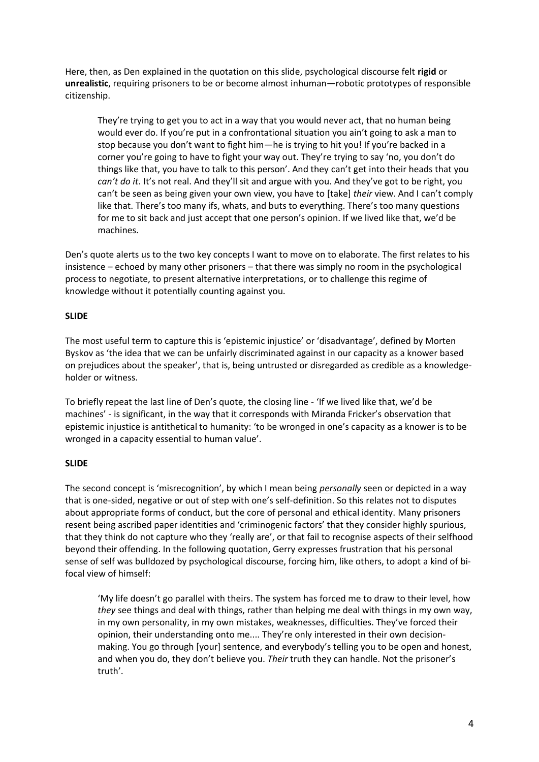Here, then, as Den explained in the quotation on this slide, psychological discourse felt **rigid** or **unrealistic**, requiring prisoners to be or become almost inhuman—robotic prototypes of responsible citizenship.

They're trying to get you to act in a way that you would never act, that no human being would ever do. If you're put in a confrontational situation you ain't going to ask a man to stop because you don't want to fight him—he is trying to hit you! If you're backed in a corner you're going to have to fight your way out. They're trying to say 'no, you don't do things like that, you have to talk to this person'. And they can't get into their heads that you *can't do it*. It's not real. And they'll sit and argue with you. And they've got to be right, you can't be seen as being given your own view, you have to [take] *their* view. And I can't comply like that. There's too many ifs, whats, and buts to everything. There's too many questions for me to sit back and just accept that one person's opinion. If we lived like that, we'd be machines.

Den's quote alerts us to the two key concepts I want to move on to elaborate. The first relates to his insistence – echoed by many other prisoners – that there was simply no room in the psychological process to negotiate, to present alternative interpretations, or to challenge this regime of knowledge without it potentially counting against you.

# **SLIDE**

The most useful term to capture this is 'epistemic injustice' or 'disadvantage', defined by Morten Byskov as 'the idea that we can be unfairly discriminated against in our capacity as a knower based on prejudices about the speaker', that is, being untrusted or disregarded as credible as a knowledgeholder or witness.

To briefly repeat the last line of Den's quote, the closing line - 'If we lived like that, we'd be machines' - is significant, in the way that it corresponds with Miranda Fricker's observation that epistemic injustice is antithetical to humanity: 'to be wronged in one's capacity as a knower is to be wronged in a capacity essential to human value'.

# **SLIDE**

The second concept is 'misrecognition', by which I mean being *personally* seen or depicted in a way that is one-sided, negative or out of step with one's self-definition. So this relates not to disputes about appropriate forms of conduct, but the core of personal and ethical identity. Many prisoners resent being ascribed paper identities and 'criminogenic factors' that they consider highly spurious, that they think do not capture who they 'really are', or that fail to recognise aspects of their selfhood beyond their offending. In the following quotation, Gerry expresses frustration that his personal sense of self was bulldozed by psychological discourse, forcing him, like others, to adopt a kind of bifocal view of himself:

'My life doesn't go parallel with theirs. The system has forced me to draw to their level, how *they* see things and deal with things, rather than helping me deal with things in my own way, in my own personality, in my own mistakes, weaknesses, difficulties. They've forced their opinion, their understanding onto me.... They're only interested in their own decisionmaking. You go through [your] sentence, and everybody's telling you to be open and honest, and when you do, they don't believe you. *Their* truth they can handle. Not the prisoner's truth'.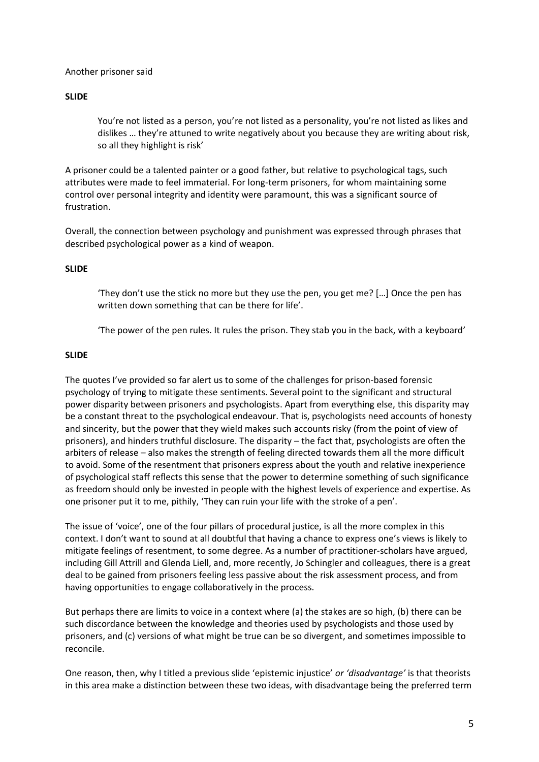#### Another prisoner said

#### **SLIDE**

You're not listed as a person, you're not listed as a personality, you're not listed as likes and dislikes … they're attuned to write negatively about you because they are writing about risk, so all they highlight is risk'

A prisoner could be a talented painter or a good father, but relative to psychological tags, such attributes were made to feel immaterial. For long-term prisoners, for whom maintaining some control over personal integrity and identity were paramount, this was a significant source of frustration.

Overall, the connection between psychology and punishment was expressed through phrases that described psychological power as a kind of weapon.

#### **SLIDE**

'They don't use the stick no more but they use the pen, you get me? […] Once the pen has written down something that can be there for life'.

'The power of the pen rules. It rules the prison. They stab you in the back, with a keyboard'

#### **SLIDE**

The quotes I've provided so far alert us to some of the challenges for prison-based forensic psychology of trying to mitigate these sentiments. Several point to the significant and structural power disparity between prisoners and psychologists. Apart from everything else, this disparity may be a constant threat to the psychological endeavour. That is, psychologists need accounts of honesty and sincerity, but the power that they wield makes such accounts risky (from the point of view of prisoners), and hinders truthful disclosure. The disparity – the fact that, psychologists are often the arbiters of release – also makes the strength of feeling directed towards them all the more difficult to avoid. Some of the resentment that prisoners express about the youth and relative inexperience of psychological staff reflects this sense that the power to determine something of such significance as freedom should only be invested in people with the highest levels of experience and expertise. As one prisoner put it to me, pithily, 'They can ruin your life with the stroke of a pen'.

The issue of 'voice', one of the four pillars of procedural justice, is all the more complex in this context. I don't want to sound at all doubtful that having a chance to express one's views is likely to mitigate feelings of resentment, to some degree. As a number of practitioner-scholars have argued, including Gill Attrill and Glenda Liell, and, more recently, Jo Schingler and colleagues, there is a great deal to be gained from prisoners feeling less passive about the risk assessment process, and from having opportunities to engage collaboratively in the process.

But perhaps there are limits to voice in a context where (a) the stakes are so high, (b) there can be such discordance between the knowledge and theories used by psychologists and those used by prisoners, and (c) versions of what might be true can be so divergent, and sometimes impossible to reconcile.

One reason, then, why I titled a previous slide 'epistemic injustice' *or 'disadvantage'* is that theorists in this area make a distinction between these two ideas, with disadvantage being the preferred term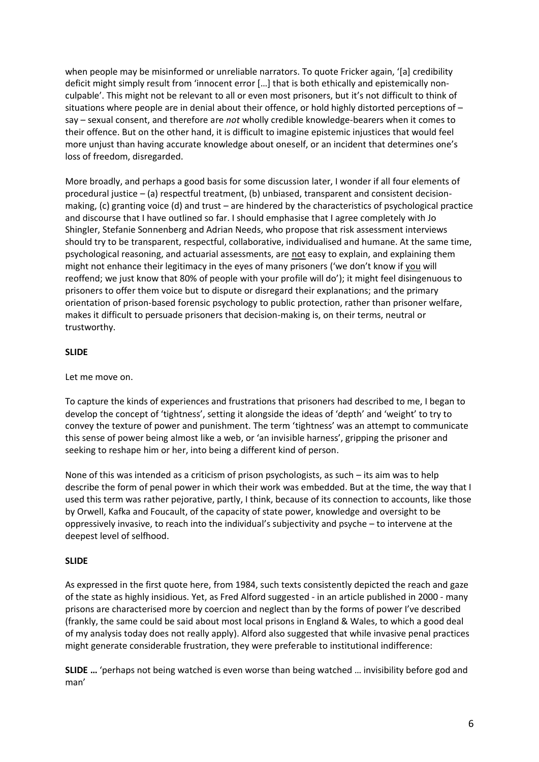when people may be misinformed or unreliable narrators. To quote Fricker again, '[a] credibility deficit might simply result from 'innocent error […] that is both ethically and epistemically nonculpable'. This might not be relevant to all or even most prisoners, but it's not difficult to think of situations where people are in denial about their offence, or hold highly distorted perceptions of  $$ say – sexual consent, and therefore are *not* wholly credible knowledge-bearers when it comes to their offence. But on the other hand, it is difficult to imagine epistemic injustices that would feel more unjust than having accurate knowledge about oneself, or an incident that determines one's loss of freedom, disregarded.

More broadly, and perhaps a good basis for some discussion later, I wonder if all four elements of procedural justice – (a) respectful treatment, (b) unbiased, transparent and consistent decisionmaking, (c) granting voice (d) and trust – are hindered by the characteristics of psychological practice and discourse that I have outlined so far. I should emphasise that I agree completely with Jo Shingler, Stefanie Sonnenberg and Adrian Needs, who propose that risk assessment interviews should try to be transparent, respectful, collaborative, individualised and humane. At the same time, psychological reasoning, and actuarial assessments, are not easy to explain, and explaining them might not enhance their legitimacy in the eyes of many prisoners ('we don't know if you will reoffend; we just know that 80% of people with your profile will do'); it might feel disingenuous to prisoners to offer them voice but to dispute or disregard their explanations; and the primary orientation of prison-based forensic psychology to public protection, rather than prisoner welfare, makes it difficult to persuade prisoners that decision-making is, on their terms, neutral or trustworthy.

# **SLIDE**

Let me move on.

To capture the kinds of experiences and frustrations that prisoners had described to me, I began to develop the concept of 'tightness', setting it alongside the ideas of 'depth' and 'weight' to try to convey the texture of power and punishment. The term 'tightness' was an attempt to communicate this sense of power being almost like a web, or 'an invisible harness', gripping the prisoner and seeking to reshape him or her, into being a different kind of person.

None of this was intended as a criticism of prison psychologists, as such – its aim was to help describe the form of penal power in which their work was embedded. But at the time, the way that I used this term was rather pejorative, partly, I think, because of its connection to accounts, like those by Orwell, Kafka and Foucault, of the capacity of state power, knowledge and oversight to be oppressively invasive, to reach into the individual's subjectivity and psyche – to intervene at the deepest level of selfhood.

# **SLIDE**

As expressed in the first quote here, from 1984, such texts consistently depicted the reach and gaze of the state as highly insidious. Yet, as Fred Alford suggested - in an article published in 2000 - many prisons are characterised more by coercion and neglect than by the forms of power I've described (frankly, the same could be said about most local prisons in England & Wales, to which a good deal of my analysis today does not really apply). Alford also suggested that while invasive penal practices might generate considerable frustration, they were preferable to institutional indifference:

**SLIDE …** 'perhaps not being watched is even worse than being watched … invisibility before god and man'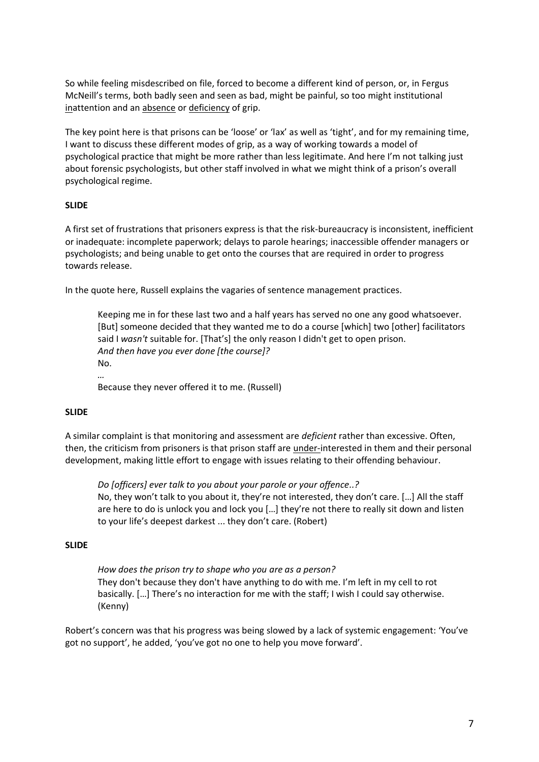So while feeling misdescribed on file, forced to become a different kind of person, or, in Fergus McNeill's terms, both badly seen and seen as bad, might be painful, so too might institutional inattention and an absence or deficiency of grip.

The key point here is that prisons can be 'loose' or 'lax' as well as 'tight', and for my remaining time, I want to discuss these different modes of grip, as a way of working towards a model of psychological practice that might be more rather than less legitimate. And here I'm not talking just about forensic psychologists, but other staff involved in what we might think of a prison's overall psychological regime.

### **SLIDE**

A first set of frustrations that prisoners express is that the risk-bureaucracy is inconsistent, inefficient or inadequate: incomplete paperwork; delays to parole hearings; inaccessible offender managers or psychologists; and being unable to get onto the courses that are required in order to progress towards release.

In the quote here, Russell explains the vagaries of sentence management practices.

Keeping me in for these last two and a half years has served no one any good whatsoever. [But] someone decided that they wanted me to do a course [which] two [other] facilitators said I *wasn't* suitable for. [That's] the only reason I didn't get to open prison. *And then have you ever done [the course]?* No.

Because they never offered it to me. (Russell)

# **SLIDE**

*…*

A similar complaint is that monitoring and assessment are *deficient* rather than excessive. Often, then, the criticism from prisoners is that prison staff are under-interested in them and their personal development, making little effort to engage with issues relating to their offending behaviour.

*Do [officers] ever talk to you about your parole or your offence..?* No, they won't talk to you about it, they're not interested, they don't care. […] All the staff are here to do is unlock you and lock you […] they're not there to really sit down and listen to your life's deepest darkest ... they don't care. (Robert)

#### **SLIDE**

*How does the prison try to shape who you are as a person?* They don't because they don't have anything to do with me. I'm left in my cell to rot basically. […] There's no interaction for me with the staff; I wish I could say otherwise. (Kenny)

Robert's concern was that his progress was being slowed by a lack of systemic engagement: 'You've got no support', he added, 'you've got no one to help you move forward'.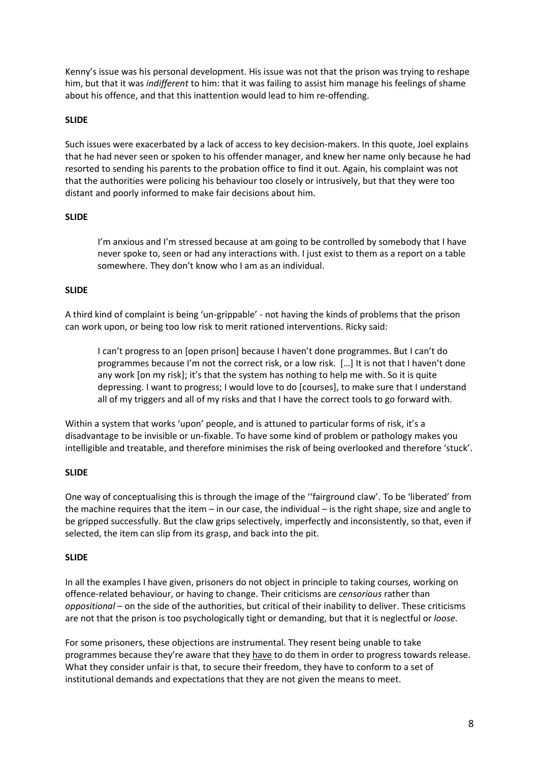Kenny's issue was his personal development. His issue was not that the prison was trying to reshape him, but that it was *indifferent* to him: that it was failing to assist him manage his feelings of shame about his offence, and that this inattention would lead to him re-offending.

### **SLIDE**

Such issues were exacerbated by a lack of access to key decision-makers. In this quote, Joel explains that he had never seen or spoken to his offender manager, and knew her name only because he had resorted to sending his parents to the probation office to find it out. Again, his complaint was not that the authorities were policing his behaviour too closely or intrusively, but that they were too distant and poorly informed to make fair decisions about him.

### **SLIDE**

I'm anxious and I'm stressed because at am going to be controlled by somebody that I have never spoke to, seen or had any interactions with. I just exist to them as a report on a table somewhere. They don't know who I am as an individual.

### **SLIDE**

A third kind of complaint is being 'un-grippable' - not having the kinds of problems that the prison can work upon, or being too low risk to merit rationed interventions. Ricky said:

I can't progress to an [open prison] because I haven't done programmes. But I can't do programmes because I'm not the correct risk, or a low risk. […] It is not that I haven't done any work [on my risk]; it's that the system has nothing to help me with. So it is quite depressing. I want to progress; I would love to do [courses], to make sure that I understand all of my triggers and all of my risks and that I have the correct tools to go forward with.

Within a system that works 'upon' people, and is attuned to particular forms of risk, it's a disadvantage to be invisible or un-fixable. To have some kind of problem or pathology makes you intelligible and treatable, and therefore minimises the risk of being overlooked and therefore 'stuck'.

# **SLIDE**

One way of conceptualising this is through the image of the ''fairground claw'. To be 'liberated' from the machine requires that the item – in our case, the individual – is the right shape, size and angle to be gripped successfully. But the claw grips selectively, imperfectly and inconsistently, so that, even if selected, the item can slip from its grasp, and back into the pit.

# **SLIDE**

In all the examples I have given, prisoners do not object in principle to taking courses, working on offence-related behaviour, or having to change. Their criticisms are *censorious* rather than *oppositional* – on the side of the authorities, but critical of their inability to deliver. These criticisms are not that the prison is too psychologically tight or demanding, but that it is neglectful or *loose*.

For some prisoners, these objections are instrumental. They resent being unable to take programmes because they're aware that they have to do them in order to progress towards release. What they consider unfair is that, to secure their freedom, they have to conform to a set of institutional demands and expectations that they are not given the means to meet.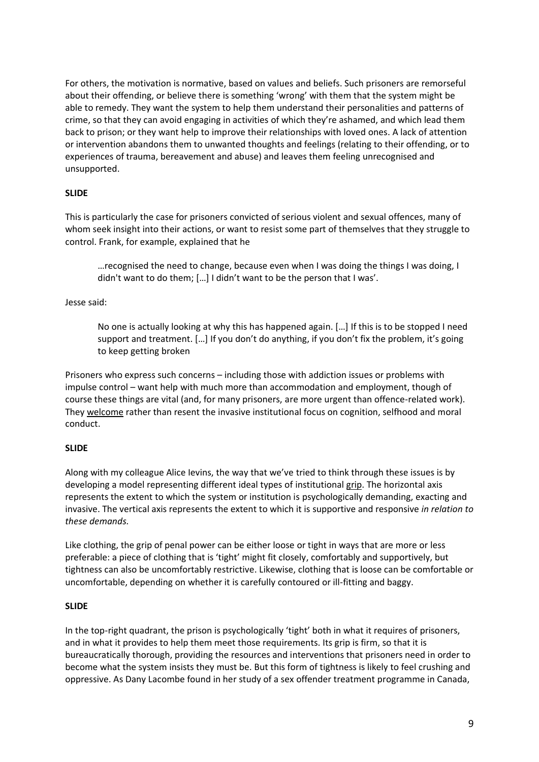For others, the motivation is normative, based on values and beliefs. Such prisoners are remorseful about their offending, or believe there is something 'wrong' with them that the system might be able to remedy. They want the system to help them understand their personalities and patterns of crime, so that they can avoid engaging in activities of which they're ashamed, and which lead them back to prison; or they want help to improve their relationships with loved ones. A lack of attention or intervention abandons them to unwanted thoughts and feelings (relating to their offending, or to experiences of trauma, bereavement and abuse) and leaves them feeling unrecognised and unsupported.

# **SLIDE**

This is particularly the case for prisoners convicted of serious violent and sexual offences, many of whom seek insight into their actions, or want to resist some part of themselves that they struggle to control. Frank, for example, explained that he

…recognised the need to change, because even when I was doing the things I was doing, I didn't want to do them; […] I didn't want to be the person that I was'.

#### Jesse said:

No one is actually looking at why this has happened again. […] If this is to be stopped I need support and treatment. […] If you don't do anything, if you don't fix the problem, it's going to keep getting broken

Prisoners who express such concerns – including those with addiction issues or problems with impulse control – want help with much more than accommodation and employment, though of course these things are vital (and, for many prisoners, are more urgent than offence-related work). They welcome rather than resent the invasive institutional focus on cognition, selfhood and moral conduct.

#### **SLIDE**

Along with my colleague Alice Ievins, the way that we've tried to think through these issues is by developing a model representing different ideal types of institutional grip. The horizontal axis represents the extent to which the system or institution is psychologically demanding, exacting and invasive. The vertical axis represents the extent to which it is supportive and responsive *in relation to these demands.* 

Like clothing, the grip of penal power can be either loose or tight in ways that are more or less preferable: a piece of clothing that is 'tight' might fit closely, comfortably and supportively, but tightness can also be uncomfortably restrictive. Likewise, clothing that is loose can be comfortable or uncomfortable, depending on whether it is carefully contoured or ill-fitting and baggy.

#### **SLIDE**

In the top-right quadrant, the prison is psychologically 'tight' both in what it requires of prisoners, and in what it provides to help them meet those requirements. Its grip is firm, so that it is bureaucratically thorough, providing the resources and interventions that prisoners need in order to become what the system insists they must be. But this form of tightness is likely to feel crushing and oppressive. As Dany Lacombe found in her study of a sex offender treatment programme in Canada,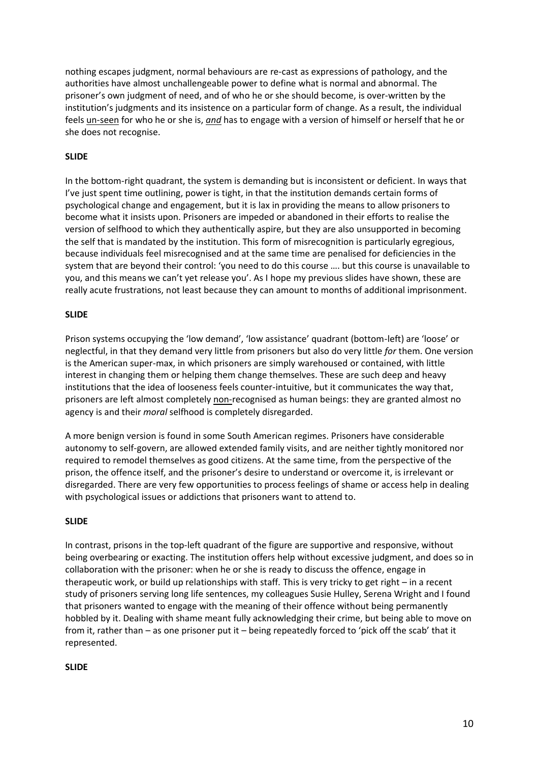nothing escapes judgment, normal behaviours are re-cast as expressions of pathology, and the authorities have almost unchallengeable power to define what is normal and abnormal. The prisoner's own judgment of need, and of who he or she should become, is over-written by the institution's judgments and its insistence on a particular form of change. As a result, the individual feels un-seen for who he or she is, *and* has to engage with a version of himself or herself that he or she does not recognise.

# **SLIDE**

In the bottom-right quadrant, the system is demanding but is inconsistent or deficient. In ways that I've just spent time outlining, power is tight, in that the institution demands certain forms of psychological change and engagement, but it is lax in providing the means to allow prisoners to become what it insists upon. Prisoners are impeded or abandoned in their efforts to realise the version of selfhood to which they authentically aspire, but they are also unsupported in becoming the self that is mandated by the institution. This form of misrecognition is particularly egregious, because individuals feel misrecognised and at the same time are penalised for deficiencies in the system that are beyond their control: 'you need to do this course …. but this course is unavailable to you, and this means we can't yet release you'. As I hope my previous slides have shown, these are really acute frustrations, not least because they can amount to months of additional imprisonment.

### **SLIDE**

Prison systems occupying the 'low demand', 'low assistance' quadrant (bottom-left) are 'loose' or neglectful, in that they demand very little from prisoners but also do very little *for* them. One version is the American super-max, in which prisoners are simply warehoused or contained, with little interest in changing them or helping them change themselves. These are such deep and heavy institutions that the idea of looseness feels counter-intuitive, but it communicates the way that, prisoners are left almost completely non-recognised as human beings: they are granted almost no agency is and their *moral* selfhood is completely disregarded.

A more benign version is found in some South American regimes. Prisoners have considerable autonomy to self-govern, are allowed extended family visits, and are neither tightly monitored nor required to remodel themselves as good citizens. At the same time, from the perspective of the prison, the offence itself, and the prisoner's desire to understand or overcome it, is irrelevant or disregarded. There are very few opportunities to process feelings of shame or access help in dealing with psychological issues or addictions that prisoners want to attend to.

# **SLIDE**

In contrast, prisons in the top-left quadrant of the figure are supportive and responsive, without being overbearing or exacting. The institution offers help without excessive judgment, and does so in collaboration with the prisoner: when he or she is ready to discuss the offence, engage in therapeutic work, or build up relationships with staff. This is very tricky to get right – in a recent study of prisoners serving long life sentences, my colleagues Susie Hulley, Serena Wright and I found that prisoners wanted to engage with the meaning of their offence without being permanently hobbled by it. Dealing with shame meant fully acknowledging their crime, but being able to move on from it, rather than – as one prisoner put it – being repeatedly forced to 'pick off the scab' that it represented.

#### **SLIDE**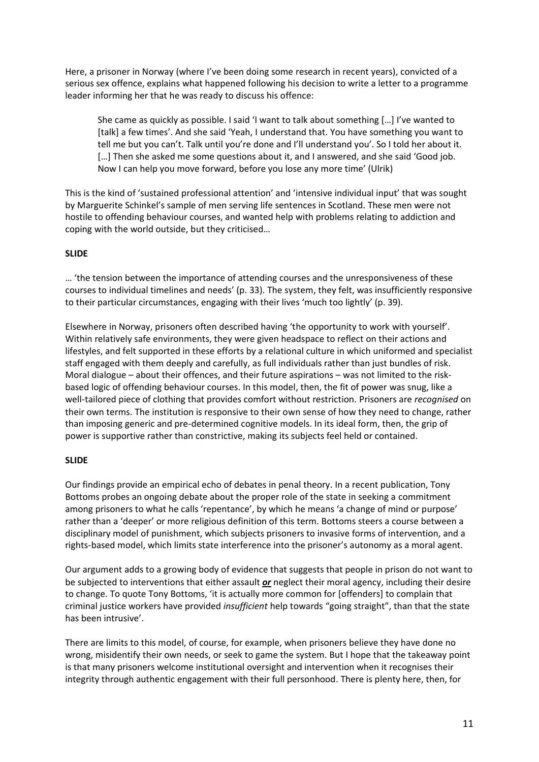Here, a prisoner in Norway (where I've been doing some research in recent years), convicted of a serious sex offence, explains what happened following his decision to write a letter to a programme leader informing her that he was ready to discuss his offence:

She came as quickly as possible. I said 'I want to talk about something […] I've wanted to [talk] a few times'. And she said 'Yeah, I understand that. You have something you want to tell me but you can't. Talk until you're done and I'll understand you'. So I told her about it. [...] Then she asked me some questions about it, and I answered, and she said 'Good job. Now I can help you move forward, before you lose any more time' (Ulrik)

This is the kind of 'sustained professional attention' and 'intensive individual input' that was sought by Marguerite Schinkel's sample of men serving life sentences in Scotland. These men were not hostile to offending behaviour courses, and wanted help with problems relating to addiction and coping with the world outside, but they criticised…

# **SLIDE**

… 'the tension between the importance of attending courses and the unresponsiveness of these courses to individual timelines and needs' (p. 33). The system, they felt, was insufficiently responsive to their particular circumstances, engaging with their lives 'much too lightly' (p. 39).

Elsewhere in Norway, prisoners often described having 'the opportunity to work with yourself'. Within relatively safe environments, they were given headspace to reflect on their actions and lifestyles, and felt supported in these efforts by a relational culture in which uniformed and specialist staff engaged with them deeply and carefully, as full individuals rather than just bundles of risk. Moral dialogue – about their offences, and their future aspirations – was not limited to the riskbased logic of offending behaviour courses. In this model, then, the fit of power was snug, like a well-tailored piece of clothing that provides comfort without restriction. Prisoners are *recognised* on their own terms. The institution is responsive to their own sense of how they need to change, rather than imposing generic and pre-determined cognitive models. In its ideal form, then, the grip of power is supportive rather than constrictive, making its subjects feel held or contained.

# **SLIDE**

Our findings provide an empirical echo of debates in penal theory. In a recent publication, Tony Bottoms probes an ongoing debate about the proper role of the state in seeking a commitment among prisoners to what he calls 'repentance', by which he means 'a change of mind or purpose' rather than a 'deeper' or more religious definition of this term. Bottoms steers a course between a disciplinary model of punishment, which subjects prisoners to invasive forms of intervention, and a rights-based model, which limits state interference into the prisoner's autonomy as a moral agent.

Our argument adds to a growing body of evidence that suggests that people in prison do not want to be subjected to interventions that either assault *or* neglect their moral agency, including their desire to change. To quote Tony Bottoms, 'it is actually more common for [offenders] to complain that criminal justice workers have provided *insufficient* help towards "going straight", than that the state has been intrusive'.

There are limits to this model, of course, for example, when prisoners believe they have done no wrong, misidentify their own needs, or seek to game the system. But I hope that the takeaway point is that many prisoners welcome institutional oversight and intervention when it recognises their integrity through authentic engagement with their full personhood. There is plenty here, then, for